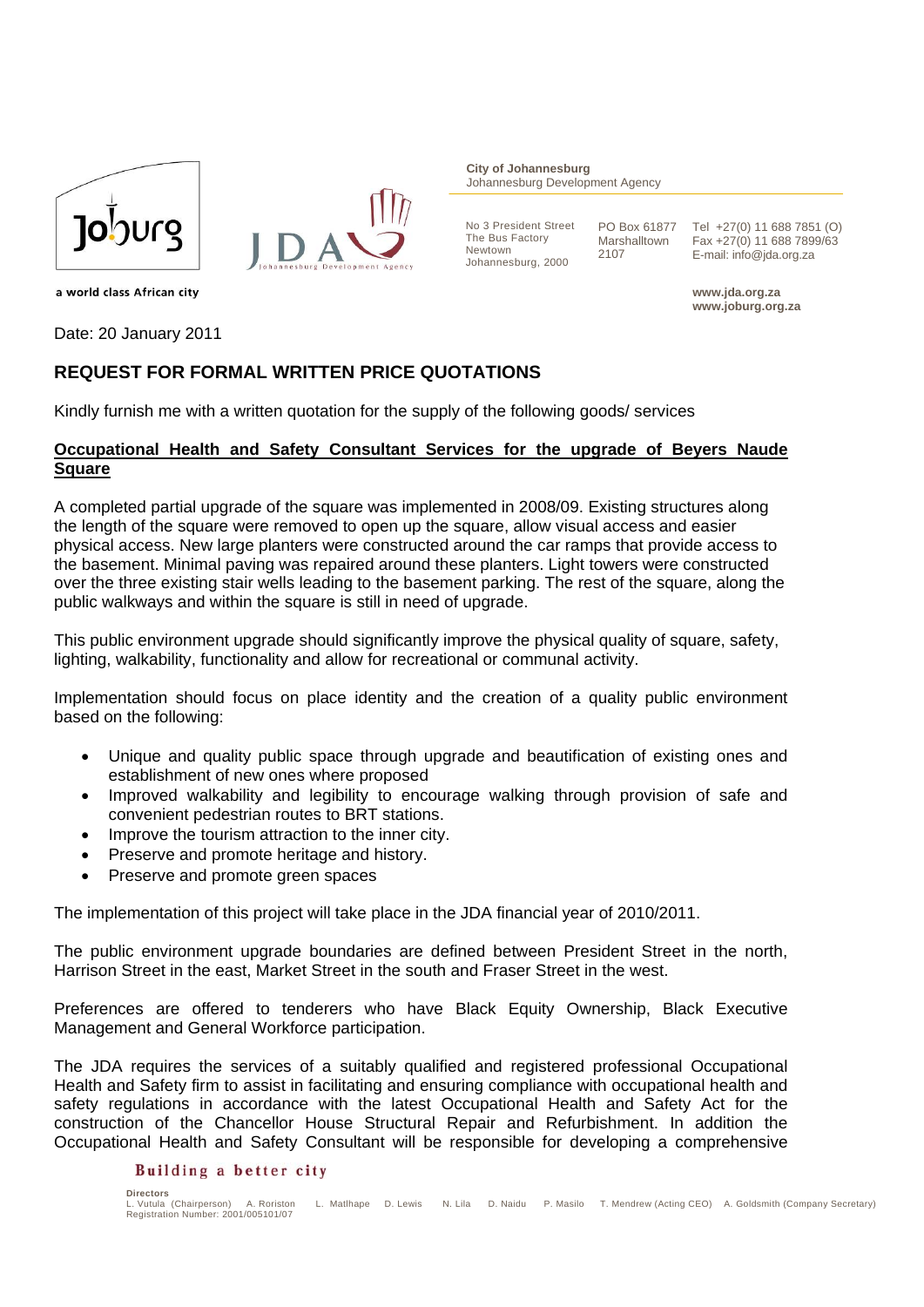



**City of Johannesburg** Johannesburg Development Agency

No 3 President Street The Bus Factory Newtown Johannesburg, 2000

PO Box 61877 Marshalltown 2107

Tel +27(0) 11 688 7851 (O) Fax +27(0) 11 688 7899/63 E-mail: info@jda.org.za

**www.jda.org.za www.joburg.org.za** 

a world class African city

Date: 20 January 2011

## **REQUEST FOR FORMAL WRITTEN PRICE QUOTATIONS**

Kindly furnish me with a written quotation for the supply of the following goods/ services

## **Occupational Health and Safety Consultant Services for the upgrade of Beyers Naude Square**

A completed partial upgrade of the square was implemented in 2008/09. Existing structures along the length of the square were removed to open up the square, allow visual access and easier physical access. New large planters were constructed around the car ramps that provide access to the basement. Minimal paving was repaired around these planters. Light towers were constructed over the three existing stair wells leading to the basement parking. The rest of the square, along the public walkways and within the square is still in need of upgrade.

This public environment upgrade should significantly improve the physical quality of square, safety, lighting, walkability, functionality and allow for recreational or communal activity.

Implementation should focus on place identity and the creation of a quality public environment based on the following:

- Unique and quality public space through upgrade and beautification of existing ones and establishment of new ones where proposed
- Improved walkability and legibility to encourage walking through provision of safe and convenient pedestrian routes to BRT stations.
- Improve the tourism attraction to the inner city.
- Preserve and promote heritage and history.
- Preserve and promote green spaces

The implementation of this project will take place in the JDA financial year of 2010/2011.

The public environment upgrade boundaries are defined between President Street in the north, Harrison Street in the east, Market Street in the south and Fraser Street in the west.

Preferences are offered to tenderers who have Black Equity Ownership, Black Executive Management and General Workforce participation.

The JDA requires the services of a suitably qualified and registered professional Occupational Health and Safety firm to assist in facilitating and ensuring compliance with occupational health and safety regulations in accordance with the latest Occupational Health and Safety Act for the construction of the Chancellor House Structural Repair and Refurbishment. In addition the Occupational Health and Safety Consultant will be responsible for developing a comprehensive

## Building a better city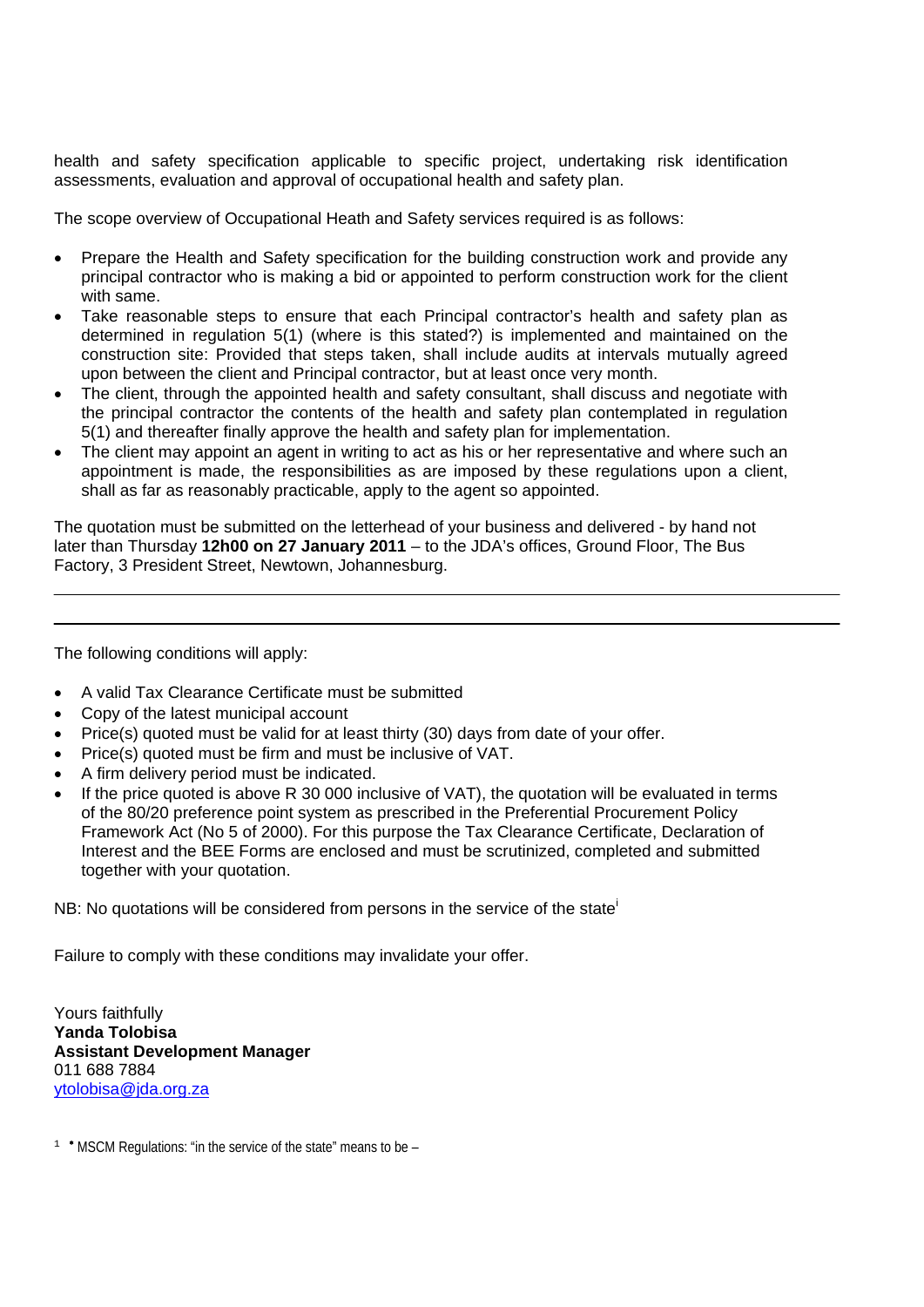health and safety specification applicable to specific project, undertaking risk identification assessments, evaluation and approval of occupational health and safety plan.

The scope overview of Occupational Heath and Safety services required is as follows:

- Prepare the Health and Safety specification for the building construction work and provide any principal contractor who is making a bid or appointed to perform construction work for the client with same.
- Take reasonable steps to ensure that each Principal contractor's health and safety plan as determined in regulation 5(1) (where is this stated?) is implemented and maintained on the construction site: Provided that steps taken, shall include audits at intervals mutually agreed upon between the client and Principal contractor, but at least once very month.
- The client, through the appointed health and safety consultant, shall discuss and negotiate with the principal contractor the contents of the health and safety plan contemplated in regulation 5(1) and thereafter finally approve the health and safety plan for implementation.
- The client may appoint an agent in writing to act as his or her representative and where such an appointment is made, the responsibilities as are imposed by these regulations upon a client, shall as far as reasonably practicable, apply to the agent so appointed.

The quotation must be submitted on the letterhead of your business and delivered - by hand not later than Thursday **12h00 on 27 January 2011** – to the JDA's offices, Ground Floor, The Bus Factory, 3 President Street, Newtown, Johannesburg.

The following conditions will apply:

- A valid Tax Clearance Certificate must be submitted
- Copy of the latest municipal account
- Price(s) quoted must be valid for at least thirty (30) days from date of your offer.
- Price(s) quoted must be firm and must be inclusive of VAT.
- A firm delivery period must be indicated.
- If the price quoted is above R 30 000 inclusive of VAT), the quotation will be evaluated in terms of the 80/20 preference point system as prescribed in the Preferential Procurement Policy Framework Act (No 5 of 2000). For this purpose the Tax Clearance Certificate, Declaration of Interest and the BEE Forms are enclosed and must be scrutinized, completed and submitted together with your quotation.

NB: No quotations will be considered from persons in the service of the state<sup>i</sup>

Failure to comply with these conditions may invalidate your offer.

Yours faithfully **Yanda Tolobisa Assistant Development Manager**  011 688 7884 ytolobisa@jda.org.za

<sup>1</sup> <sup>★</sup> MSCM Regulations: "in the service of the state" means to be –